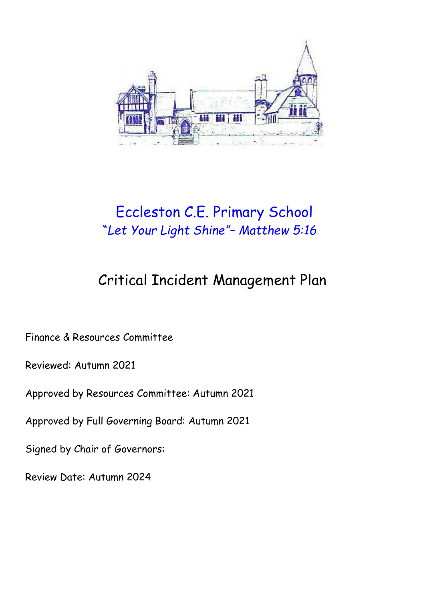

# Eccleston C.E. Primary School "*Let Your Light Shine"– Matthew 5:16*

# Critical Incident Management Plan

Finance & Resources Committee

Reviewed: Autumn 2021

Approved by Resources Committee: Autumn 2021

Approved by Full Governing Board: Autumn 2021

Signed by Chair of Governors:

Review Date: Autumn 2024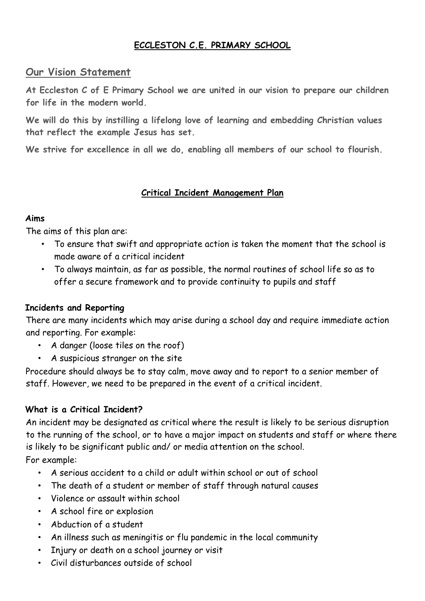# **ECCLESTON C.E. PRIMARY SCHOOL**

### **Our Vision Statement**

**At Eccleston C of E Primary School we are united in our vision to prepare our children for life in the modern world.**

**We will do this by instilling a lifelong love of learning and embedding Christian values that reflect the example Jesus has set.**

**We strive for excellence in all we do, enabling all members of our school to flourish.**

#### **Critical Incident Management Plan**

#### **Aims**

The aims of this plan are:

- To ensure that swift and appropriate action is taken the moment that the school is made aware of a critical incident
- To always maintain, as far as possible, the normal routines of school life so as to offer a secure framework and to provide continuity to pupils and staff

#### **Incidents and Reporting**

There are many incidents which may arise during a school day and require immediate action and reporting. For example:

- A danger (loose tiles on the roof)
- A suspicious stranger on the site

Procedure should always be to stay calm, move away and to report to a senior member of staff. However, we need to be prepared in the event of a critical incident.

#### **What is a Critical Incident?**

An incident may be designated as critical where the result is likely to be serious disruption to the running of the school, or to have a major impact on students and staff or where there is likely to be significant public and/ or media attention on the school.

For example:

- A serious accident to a child or adult within school or out of school
- The death of a student or member of staff through natural causes
- Violence or assault within school
- A school fire or explosion
- Abduction of a student
- An illness such as meningitis or flu pandemic in the local community
- Injury or death on a school journey or visit
- Civil disturbances outside of school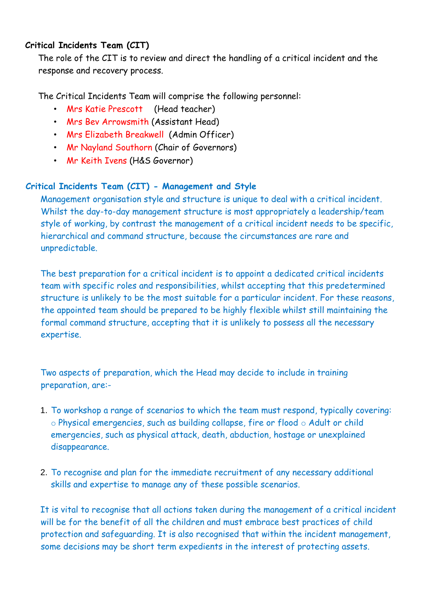# **Critical Incidents Team (CIT)**

The role of the CIT is to review and direct the handling of a critical incident and the response and recovery process.

The Critical Incidents Team will comprise the following personnel:

- Mrs Katie Prescott (Head teacher)
- Mrs Bev Arrowsmith (Assistant Head)
- Mrs Elizabeth Breakwell (Admin Officer)
- Mr Nayland Southorn (Chair of Governors)
- Mr Keith Ivens (H&S Governor)

# **Critical Incidents Team (CIT) - Management and Style**

Management organisation style and structure is unique to deal with a critical incident. Whilst the day-to-day management structure is most appropriately a leadership/team style of working, by contrast the management of a critical incident needs to be specific, hierarchical and command structure, because the circumstances are rare and unpredictable.

The best preparation for a critical incident is to appoint a dedicated critical incidents team with specific roles and responsibilities, whilst accepting that this predetermined structure is unlikely to be the most suitable for a particular incident. For these reasons, the appointed team should be prepared to be highly flexible whilst still maintaining the formal command structure, accepting that it is unlikely to possess all the necessary expertise.

Two aspects of preparation, which the Head may decide to include in training preparation, are:-

- 1. To workshop a range of scenarios to which the team must respond, typically covering: o Physical emergencies, such as building collapse, fire or flood o Adult or child emergencies, such as physical attack, death, abduction, hostage or unexplained disappearance.
- 2. To recognise and plan for the immediate recruitment of any necessary additional skills and expertise to manage any of these possible scenarios.

It is vital to recognise that all actions taken during the management of a critical incident will be for the benefit of all the children and must embrace best practices of child protection and safeguarding. It is also recognised that within the incident management, some decisions may be short term expedients in the interest of protecting assets.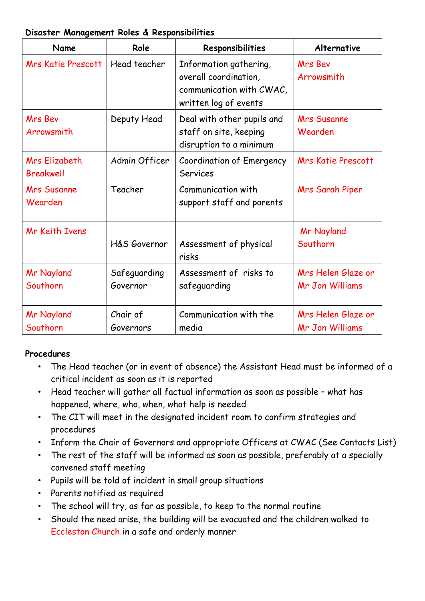#### **Disaster Management Roles & Responsibilities**

| Name                              | Role                     | Responsibilities                                                                                     | Alternative                                  |
|-----------------------------------|--------------------------|------------------------------------------------------------------------------------------------------|----------------------------------------------|
| <b>Mrs Katie Prescott</b>         | Head teacher             | Information gathering,<br>overall coordination,<br>communication with CWAC,<br>written log of events | <b>Mrs Bev</b><br>Arrowsmith                 |
| <b>Mrs Bev</b><br>Arrowsmith      | Deputy Head              | Deal with other pupils and<br>staff on site, keeping<br>disruption to a minimum                      | <b>Mrs Susanne</b><br>Wearden                |
| Mrs Elizabeth<br><b>Breakwell</b> | Admin Officer            | <b>Coordination of Emergency</b><br><b>Services</b>                                                  | <b>Mrs Katie Prescott</b>                    |
| <b>Mrs Susanne</b><br>Wearden     | Teacher                  | Communication with<br>support staff and parents                                                      | Mrs Sarah Piper                              |
| <b>Mr Keith Ivens</b>             | H&S Governor             | Assessment of physical<br>risks                                                                      | <b>Mr Nayland</b><br>Southorn                |
| <b>Mr Nayland</b><br>Southorn     | Safeguarding<br>Governor | Assessment of risks to<br>safeguarding                                                               | Mrs Helen Glaze or<br><b>Mr Jon Williams</b> |
| Mr Nayland<br>Southorn            | Chair of<br>Governors    | Communication with the<br>media                                                                      | Mrs Helen Glaze or<br><b>Mr Jon Williams</b> |

# **Procedures**

- The Head teacher (or in event of absence) the Assistant Head must be informed of a critical incident as soon as it is reported
- Head teacher will gather all factual information as soon as possible what has happened, where, who, when, what help is needed
- The CIT will meet in the designated incident room to confirm strategies and procedures
- Inform the Chair of Governors and appropriate Officers at CWAC (See Contacts List)
- The rest of the staff will be informed as soon as possible, preferably at a specially convened staff meeting
- Pupils will be told of incident in small group situations
- Parents notified as required
- The school will try, as far as possible, to keep to the normal routine
- Should the need arise, the building will be evacuated and the children walked to Eccleston Church in a safe and orderly manner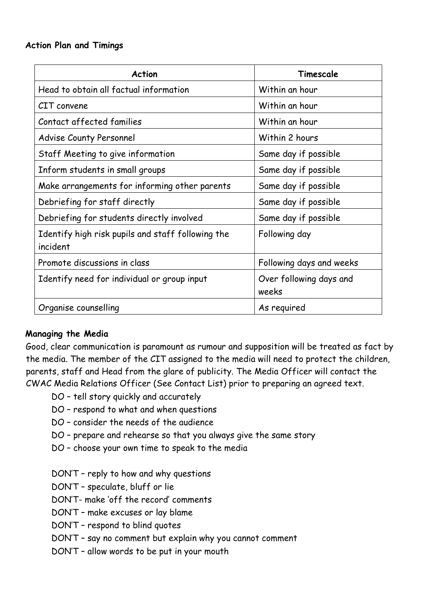#### **Action Plan and Timings**

| <b>Action</b>                                                 | Timescale                        |
|---------------------------------------------------------------|----------------------------------|
| Head to obtain all factual information                        | Within an hour                   |
| CIT convene                                                   | Within an hour                   |
| Contact affected families                                     | Within an hour                   |
| <b>Advise County Personnel</b>                                | Within 2 hours                   |
| Staff Meeting to give information                             | Same day if possible             |
| Inform students in small groups                               | Same day if possible             |
| Make arrangements for informing other parents                 | Same day if possible             |
| Debriefing for staff directly                                 | Same day if possible             |
| Debriefing for students directly involved                     | Same day if possible             |
| Identify high risk pupils and staff following the<br>incident | Following day                    |
| Promote discussions in class                                  | Following days and weeks         |
| Identify need for individual or group input                   | Over following days and<br>weeks |
| Organise counselling                                          | As required                      |

#### **Managing the Media**

Good, clear communication is paramount as rumour and supposition will be treated as fact by the media. The member of the CIT assigned to the media will need to protect the children, parents, staff and Head from the glare of publicity. The Media Officer will contact the CWAC Media Relations Officer (See Contact List) prior to preparing an agreed text.

- DO tell story quickly and accurately
- DO respond to what and when questions
- DO consider the needs of the audience
- DO prepare and rehearse so that you always give the same story
- DO choose your own time to speak to the media
- DON'T reply to how and why questions
- DON'T speculate, bluff or lie
- DON'T- make 'off the record' comments
- DON'T make excuses or lay blame
- DON'T respond to blind quotes
- DON'T say no comment but explain why you cannot comment
- DON'T allow words to be put in your mouth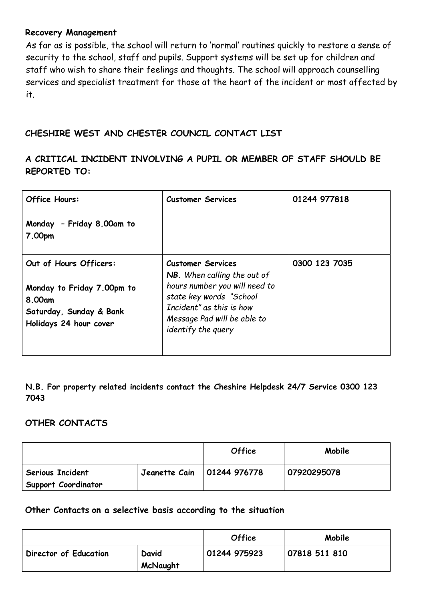#### **Recovery Management**

As far as is possible, the school will return to 'normal' routines quickly to restore a sense of security to the school, staff and pupils. Support systems will be set up for children and staff who wish to share their feelings and thoughts. The school will approach counselling services and specialist treatment for those at the heart of the incident or most affected by it.

#### **CHESHIRE WEST AND CHESTER COUNCIL CONTACT LIST**

# **A CRITICAL INCIDENT INVOLVING A PUPIL OR MEMBER OF STAFF SHOULD BE REPORTED TO:**

| <b>Office Hours:</b>                                                                      | <b>Customer Services</b>                                                                                                                  | 01244 977818  |
|-------------------------------------------------------------------------------------------|-------------------------------------------------------------------------------------------------------------------------------------------|---------------|
| Monday - Friday 8.00am to<br>7.00pm                                                       |                                                                                                                                           |               |
| Out of Hours Officers:                                                                    | <b>Customer Services</b><br>NB. When calling the out of                                                                                   | 0300 123 7035 |
| Monday to Friday 7.00pm to<br>8.00am<br>Saturday, Sunday & Bank<br>Holidays 24 hour cover | hours number you will need to<br>state key words "School<br>Incident" as this is how<br>Message Pad will be able to<br>identify the query |               |

**N.B. For property related incidents contact the Cheshire Helpdesk 24/7 Service 0300 123 7043** 

#### **OTHER CONTACTS**

|                                                |                                    | <b>Office</b> | Mobile      |
|------------------------------------------------|------------------------------------|---------------|-------------|
| <b>Serious Incident</b><br>Support Coordinator | Jeanette Cain $\vert$ 01244 976778 |               | 07920295078 |

#### **Other Contacts on a selective basis according to the situation**

|                       |                   | <b>Office</b> | Mobile        |
|-----------------------|-------------------|---------------|---------------|
| Director of Education | David<br>McNaught | 01244 975923  | 07818 511 810 |